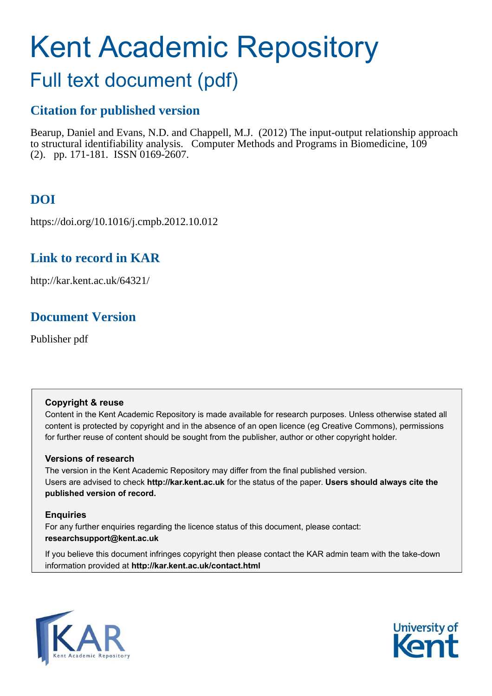# <span id="page-0-0"></span>Kent Academic Repository

## Full text document (pdf)

## **Citation for published version**

Bearup, Daniel and Evans, N.D. and Chappell, M.J. (2012) The input-output relationship approach to structural identifiability analysis. Computer Methods and Programs in Biomedicine, 109 (2). pp. 171-181. ISSN 0169-2607.

## **DOI**

https://doi.org/10.1016/j.cmpb.2012.10.012

## **Link to record in KAR**

http://kar.kent.ac.uk/64321/

## **Document Version**

Publisher pdf

#### **Copyright & reuse**

Content in the Kent Academic Repository is made available for research purposes. Unless otherwise stated all content is protected by copyright and in the absence of an open licence (eg Creative Commons), permissions for further reuse of content should be sought from the publisher, author or other copyright holder.

#### **Versions of research**

The version in the Kent Academic Repository may differ from the final published version. Users are advised to check **http://kar.kent.ac.uk** for the status of the paper. **Users should always cite the published version of record.**

#### **Enquiries**

For any further enquiries regarding the licence status of this document, please contact: **researchsupport@kent.ac.uk**

If you believe this document infringes copyright then please contact the KAR admin team with the take-down information provided at **http://kar.kent.ac.uk/contact.html**



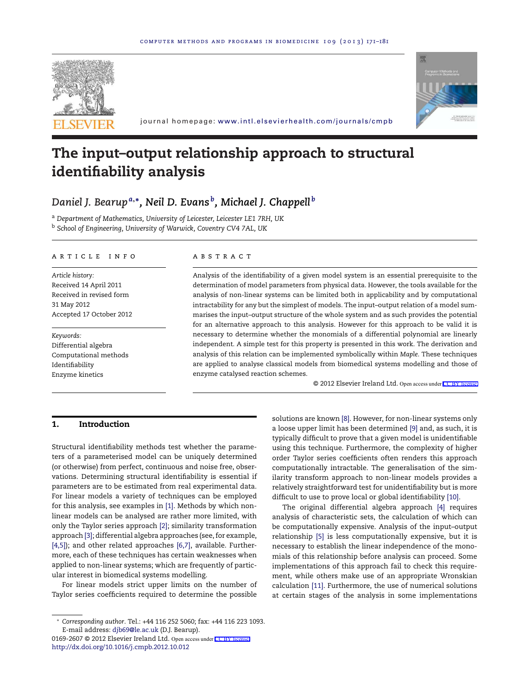<span id="page-1-0"></span>



journal homepage: <www.intl.elsevierhealth.com/journals/cmpb>

## The input–output relationship approach to structural identifiability analysis

### *Daniel J. Bearup<sup>a</sup>*,[∗](#page-0-0) *, [N](#page-0-0)eil D. Evans <sup>b</sup> , [M](#page-0-0)ichael J. Chappell [b](#page-0-0)*

<sup>a</sup> *Department of Mathematics, University of Leicester, Leicester LE1 7RH, UK* <sup>b</sup> *School of Engineering, University of Warwick, Coventry CV4 7AL, UK*

#### a r t i c l e i n f o

*Article history:* Received 14 April 2011 Received in revised form 31 May 2012 Accepted 17 October 2012

*Keywords:* Differential algebra Computational methods Identifiability Enzyme kinetics

#### A B S T R A C T

Analysis of the identifiability of a given model system is an essential prerequisite to the determination of model parameters from physical data. However, the tools available for the analysis of non-linear systems can be limited both in applicability and by computational intractability for any but the simplest of models. The input–output relation of a model summarises the input–output structure of the whole system and as such provides the potential for an alternative approach to this analysis. However for this approach to be valid it is necessary to determine whether the monomials of a differential polynomial are linearly independent. A simple test for this property is presented in this work. The derivation and analysis of this relation can be implemented symbolically within *Maple*. These techniques are applied to analyse classical models from biomedical systems modelling and those of enzyme catalysed reaction schemes.

© 2012 Elsevier Ireland Ltd. Open access under [CC BY license.](http://creativecommons.org/licenses/by/3.0/)

#### 1. Introduction

Structural identifiability methods test whether the parameters of a parameterised model can be uniquely determined (or otherwise) from perfect, continuous and noise free, observations. Determining structural identifiability is essential if parameters are to be estimated from real experimental data. For linear models a variety of techniques can be employed for this analysis, see examples in [\[1\].](#page-10-0) Methods by which nonlinear models can be analysed are rather more limited, with only the Taylor series approach [\[2\];](#page-10-0) similarity transformation approach [\[3\];](#page-10-0) differential algebra approaches (see, for example, [\[4,5\]\);](#page-10-0) and other related approaches [\[6,7\],](#page-10-0) available. Furthermore, each of these techniques has certain weaknesses when applied to non-linear systems; which are frequently of particular interest in biomedical systems modelling.

For linear models strict upper limits on the number of Taylor series coefficients required to determine the possible

0169-2607 © 2012 Elsevier Ireland Ltd. Open access under [CC BY license.](http://creativecommons.org/licenses/by/3.0/)[http://dx.doi.org/10.1016/j.cmpb.2012.10.012](dx.doi.org/10.1016/j.cmpb.2012.10.012)

solutions are known [\[8\].](#page-10-0) However, for non-linear systems only a loose upper limit has been determined [\[9\]](#page-10-0) and, as such, it is typically difficult to prove that a given model is unidentifiable using this technique. Furthermore, the complexity of higher order Taylor series coefficients often renders this approach computationally intractable. The generalisation of the similarity transform approach to non-linear models provides a relatively straightforward test for unidentifiability but is more difficult to use to prove local or global identifiability [\[10\].](#page-10-0)

The original differential algebra approach [\[4\]](#page-10-0) requires analysis of characteristic sets, the calculation of which can be computationally expensive. Analysis of the input–output relationship [\[5\]](#page-10-0) is less computationally expensive, but it is necessary to establish the linear independence of the monomials of this relationship before analysis can proceed. Some implementations of this approach fail to check this requirement, while others make use of an appropriate Wronskian calculation [\[11\].](#page-10-0) Furthermore, the use of numerical solutions at certain stages of the analysis in some implementations

<sup>∗</sup> *Corresponding author*. Tel.: +44 116 252 5060; fax: +44 116 223 1093. E-mail address: [djb69@le.ac.uk](mailto:djb69@le.ac.uk) (D.J. Bearup).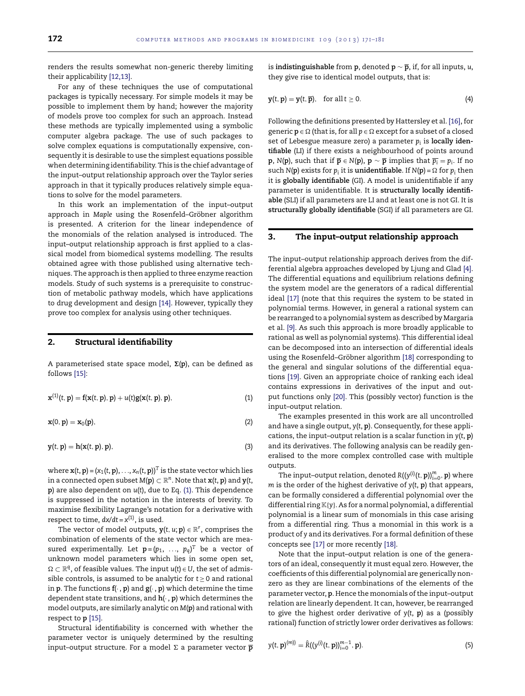<span id="page-2-0"></span>renders the results somewhat non-generic thereby limiting their applicability [\[12,13\].](#page-10-0)

For any of these techniques the use of computational packages is typically necessary. For simple models it may be possible to implement them by hand; however the majority of models prove too complex for such an approach. Instead these methods are typically implemented using a symbolic computer algebra package. The use of such packages to solve complex equations is computationally expensive, consequently it is desirable to use the simplest equations possible when determining identifiability. This is the chief advantage of the input–output relationship approach over the Taylor series approach in that it typically produces relatively simple equations to solve for the model parameters.

In this work an implementation of the input–output approach in *Maple* using the Rosenfeld–Gröbner algorithm is presented. A criterion for the linear independence of the monomials of the relation analysed is introduced. The input–output relationship approach is first applied to a classical model from biomedical systems modelling. The results obtained agree with those published using alternative techniques. The approach is then applied to three enzyme reaction models. Study of such systems is a prerequisite to construction of metabolic pathway models, which have applications to drug development and design [\[14\].](#page-10-0) However, typically they prove too complex for analysis using other techniques.

#### 2. Structural identifiability

A parameterised state space model,  $\Sigma({\sf p})$ , can be defined as follows [\[15\]:](#page-10-0)

$$
\mathbf{x}^{(1)}(t, \mathbf{p}) = \mathbf{f}(\mathbf{x}(t, \mathbf{p}), \mathbf{p}) + u(t) \mathbf{g}(\mathbf{x}(t, \mathbf{p}), \mathbf{p}), \tag{1}
$$

$$
\mathbf{x}(0,\mathbf{p}) = \mathbf{x}_0(\mathbf{p}),\tag{2}
$$

$$
y(t, p) = h(x(t, p), p), \qquad (3)
$$

where  $\mathbf{x}(t, \mathbf{p}) = (x_1(t, \mathbf{p}), \ldots, x_n(t, \mathbf{p}))^T$  is the state vector which lies  $\mathbf{m}$  a connected open subset  $\mathbf{M}(\mathbf{p}) \subset \mathbb{R}^n$ . Note that  $\mathbf{x}(t, \mathbf{p})$  and  $\mathbf{y}(t, \mathbf{p})$ **p**) are also dependent on *u*(*t*), due to Eq. [\(1\).](#page-1-0) This dependence is suppressed in the notation in the interests of brevity. To maximise flexibility Lagrange's notation for a derivative with respect to time, *dx*/*dt* = *x* (1) , is used.

The vector of model outputs,  $y(t, u; p) \in \mathbb{R}^r$ , comprises the combination of elements of the state vector which are measured experimentally. Let  $\mathbf{p} = (p_1, \ \ldots, \ p_q)^T$  be a vector of unknown model parameters which lies in some open set,  $Ω ⊂ ℝ<sup>q</sup>$ , of feasible values. The input *u*(*t*)  $∈ U$ , the set of admissible controls, is assumed to be analytic for  $t \ge 0$  and rational in **p**. The functions **f**(· , **p**) and **g**(· , **p**) which determine the time dependent state transitions, and **h**(· , **p**) which determines the model outputs, are similarly analytic on *M*(**p**) and rational with respect to **p** [\[15\].](#page-10-0)

Structural identifiability is concerned with whether the parameter vector is uniquely determined by the resulting input–output structure. For a model  $\Sigma$  a parameter vector  $\bar{p}$  is **indistinguishable** from **p**, denoted **p** ∼ **p**, if, for all inputs, *u*, they give rise to identical model outputs, that is:

$$
\mathbf{y}(t, \mathbf{p}) = \mathbf{y}(t, \overline{\mathbf{p}}), \quad \text{for all } t \ge 0.
$$
 (4)

Following the definitions presented by Hattersley et al. [\[16\],](#page-10-0) for generic  $p \in \Omega$  (that is, for all  $p \in \Omega$  except for a subset of a closed set of Lebesgue measure zero) a parameter *p<sup>i</sup>* is **locally identifiable** (LI) if there exists a neighbourhood of points around  $\mathbf{p}, \text{ } N(\mathbf{p}), \text{ such that if } \overline{\mathbf{p}} \in N(\mathbf{p}), \, \mathbf{p} \sim \overline{\mathbf{p}} \text{ implies that } \overline{p_i} = p_i. \text{ If no } \overline{\mathbf{p}}$ such *N*(**p**) exists for  $p_i$  it is unidentifiable. If *N*(**p**) =  $\Omega$  for  $p_i$  then it is **globally identifiable** (GI). A model is unidentifiable if any parameter is unidentifiable. It is **structurally locally identifiable** (SLI) if all parameters are LI and at least one is not GI. It is **structurally globally identifiable** (SGI) if all parameters are GI.

#### 3. The input–output relationship approach

The input–output relationship approach derives from the differential algebra approaches developed by Ljung and Glad [\[4\].](#page-10-0) The differential equations and equilibrium relations defining the system model are the generators of a radical differential ideal [\[17\]](#page-10-0) (note that this requires the system to be stated in polynomial terms. However, in general a rational system can be rearranged to a polynomial system as described by Margaria et al. [\[9\].](#page-10-0) As such this approach is more broadly applicable to rational as well as polynomial systems). This differential ideal can be decomposed into an intersection of differential ideals using the Rosenfeld–Gröbner algorithm [\[18\]](#page-10-0) corresponding to the general and singular solutions of the differential equations [\[19\].](#page-10-0) Given an appropriate choice of ranking each ideal contains expressions in derivatives of the input and output functions only [\[20\].](#page-10-0) This (possibly vector) function is the input–output relation.

The examples presented in this work are all uncontrolled and have a single output, *y*(*t*, **p**). Consequently, for these applications, the input–output relation is a scalar function in *y*(*t*, **p**) and its derivatives. The following analysis can be readily generalised to the more complex controlled case with multiple outputs.

The input–output relation, denoted  $R((y^{(i)}(t, p))_{i=0}^m$ ,  $p)$  where *m* is the order of the highest derivative of *y*(*t*, **p**) that appears, can be formally considered a differential polynomial over the differential ring K{y}. As for a normal polynomial, a differential polynomial is a linear sum of monomials in this case arising from a differential ring. Thus a monomial in this work is a product of *y* and its derivatives. For a formal definition of these concepts see [\[17\]](#page-10-0) or more recently [\[18\].](#page-10-0)

Note that the input–output relation is one of the generators of an ideal, consequently it must equal zero. However, the coefficients of this differential polynomial are generically nonzero as they are linear combinations of the elements of the parameter vector, **p**. Hence the monomials of the input-output relation are linearly dependent. It can, however, be rearranged to give the highest order derivative of *y*(*t*, **p**) as a (possibly rational) function of strictly lower order derivatives as follows:

$$
y(t, \mathbf{p})^{(m)} = \hat{R}((y^{(i)}(t, \mathbf{p}))_{i=0}^{m-1}, \mathbf{p}).
$$
\n(5)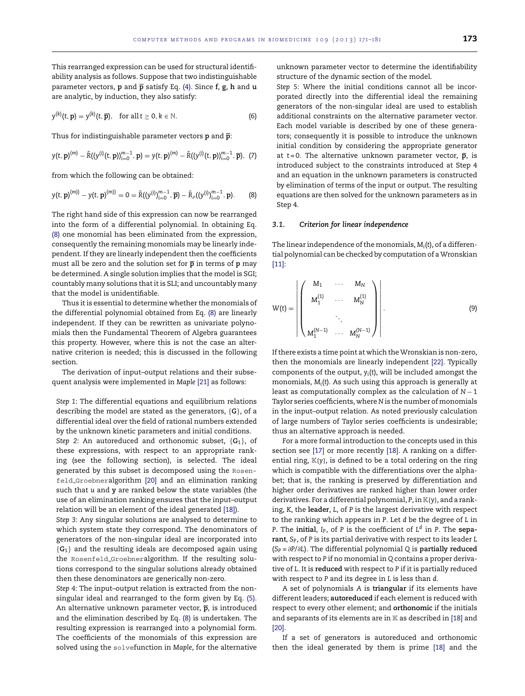<span id="page-3-0"></span>This rearranged expression can be used for structural identifiability analysis as follows. Suppose that two indistinguishable parameter vectors, **p** and **p** satisfy Eq. [\(4\).](#page-1-0) Since **f**, **g**, **h** and **u** are analytic, by induction, they also satisfy:

$$
y^{(k)}(t, \mathbf{p}) = y^{(k)}(t, \overline{\mathbf{p}}), \quad \text{for all } t \ge 0, k \in \mathbb{N}.
$$
 (6)

Thus for indistinguishable parameter vectors **p** and **p**:

$$
y(t, \mathbf{p})^{(m)} - \hat{R}((y^{(i)}(t, \mathbf{p}))_{i=0}^{m-1}, \mathbf{p}) = y(t, \mathbf{p})^{(m)} - \hat{R}((y^{(i)}(t, \mathbf{p}))_{i=0}^{m-1}, \overline{\mathbf{p}}), (7)
$$

from which the following can be obtained:

$$
y(t, p)^{(m))} - y(t, p)^{(m))} = 0 = \hat{R}((y^{(i)})_{i=0}^{m-1}, \overline{p}) - \hat{R}_{\rho}((y^{(i)})_{i=0}^{m-1}, p).
$$
 (8)

The right hand side of this expression can now be rearranged into the form of a differential polynomial. In obtaining Eq. [\(8\)](#page-2-0) one monomial has been eliminated from the expression, consequently the remaining monomials may be linearly independent. If they are linearly independent then the coefficients must all be zero and the solution set for  $\bar{p}$  in terms of  $p$  may be determined. A single solution implies that the model is SGI; countably many solutions that it is SLI; and uncountably many that the model is unidentifiable.

Thus it is essential to determine whether the monomials of the differential polynomial obtained from Eq. [\(8\)](#page-2-0) are linearly independent. If they can be rewritten as univariate polynomials then the Fundamental Theorem of Algebra guarantees this property. However, where this is not the case an alternative criterion is needed; this is discussed in the following section.

The derivation of input–output relations and their subsequent analysis were implemented in *Maple* [\[21\]](#page-10-0) as follows:

*Step 1*: The differential equations and equilibrium relations describing the model are stated as the generators, {**G**}, of a differential ideal over the field of rational numbers extended by the unknown kinetic parameters and initial conditions.

*Step 2*: An autoreduced and orthonomic subset, {**G**1}, of these expressions, with respect to an appropriate ranking (see the following section), is selected. The ideal generated by this subset is decomposed using the Rosenfeld Groebneralgorithm [\[20\]](#page-10-0) and an elimination ranking such that *u* and **y** are ranked below the state variables (the use of an elimination ranking ensures that the input–output relation will be an element of the ideal generated [\[18\]\).](#page-10-0)

*Step 3*: Any singular solutions are analysed to determine to which system state they correspond. The denominators of generators of the non-singular ideal are incorporated into {**G**1} and the resulting ideals are decomposed again using the Rosenfeld Groebneralgorithm. If the resulting solutions correspond to the singular solutions already obtained then these denominators are generically non-zero.

*Step 4*: The input–output relation is extracted from the nonsingular ideal and rearranged to the form given by Eq. [\(5\).](#page-1-0) An alternative unknown parameter vector,  $\bar{p}$ , is introduced and the elimination described by Eq. [\(8\)](#page-2-0) is undertaken. The resulting expression is rearranged into a polynomial form. The coefficients of the monomials of this expression are solved using the solvefunction in *Maple*, for the alternative unknown parameter vector to determine the identifiability structure of the dynamic section of the model.

*Step 5*: Where the initial conditions cannot all be incorporated directly into the differential ideal the remaining generators of the non-singular ideal are used to establish additional constraints on the alternative parameter vector. Each model variable is described by one of these generators; consequently it is possible to introduce the unknown initial condition by considering the appropriate generator at  $t = 0$ . The alternative unknown parameter vector,  $\bar{p}$ , is introduced subject to the constraints introduced at Step 4 and an equation in the unknown parameters is constructed by elimination of terms of the input or output. The resulting equations are then solved for the unknown parameters as in Step 4.

#### *3.1. Criterion for linear independence*

The linear independence of the monomials,  $M_i(t)$ , of a differential polynomial can be checked by computation of a Wronskian [\[11\]:](#page-10-0)

$$
W(t) = \begin{pmatrix} M_1 & \cdots & M_N \\ M_1^{(1)} & \cdots & M_N^{(1)} \\ \vdots & \vdots & \ddots & \vdots \\ M_1^{(N-1)} & \cdots & M_N^{(N-1)} \end{pmatrix} .
$$
 (9)

If there exists a time point at which the Wronskian is non-zero, then the monomials are linearly independent [\[22\].](#page-10-0) Typically components of the output, *y<sup>i</sup>* (*t*), will be included amongst the monomials, *M<sup>i</sup>* (*t*). As such using this approach is generally at least as computationally complex as the calculation of *N* − 1 Taylor series coefficients, where *N* is the number of monomials in the input–output relation. As noted previously calculation of large numbers of Taylor series coefficients is undesirable; thus an alternative approach is needed.

For a more formal introduction to the concepts used in this section see [\[17\]](#page-10-0) or more recently [\[18\].](#page-10-0) A ranking on a differential ring,  $K{y}$ , is defined to be a total ordering on the ring which is compatible with the differentiations over the alphabet; that is, the ranking is preserved by differentiation and higher order derivatives are ranked higher than lower order derivatives. For a differential polynomial, *P*, in K{y}, and a ranking, *K*, the **leader**, *L*, of *P* is the largest derivative with respect to the ranking which appears in *P*. Let *d* be the degree of *L* in *P*. The **initial**, *IP*, of *P* is the coefficient of *L d* in *P*. The **separant**, *SP*, of *P* is its partial derivative with respect to its leader *L* (*S<sup>P</sup>* = ∂*P*/∂*L*). The differential polynomial *Q* is **partially reduced** with respect to *P* if no monomial in *Q* contains a proper derivative of *L*. It is **reduced** with respect to *P* if it is partially reduced with respect to *P* and its degree in *L* is less than *d*.

A set of polynomials *A* is **triangular** if its elements have different leaders; **autoreduced** if each element is reduced with respect to every other element; and **orthonomic** if the initials and separants of its elements are in  $K$  as described in [\[18\]](#page-10-0) and [\[20\].](#page-10-0)

If a set of generators is autoreduced and orthonomic then the ideal generated by them is prime [\[18\]](#page-10-0) and the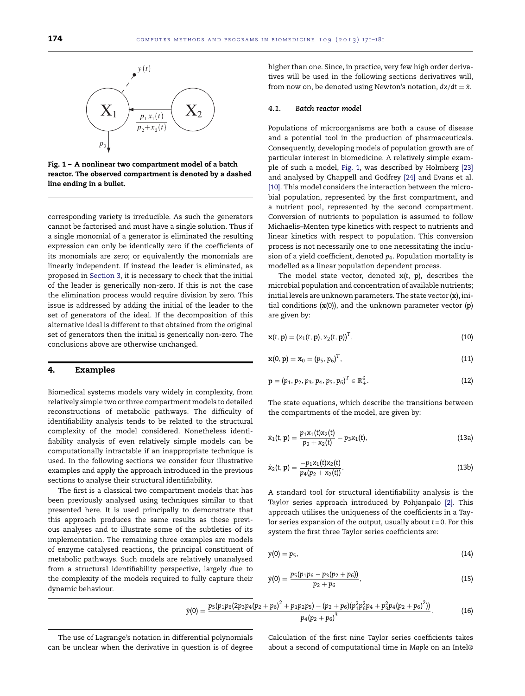<span id="page-4-0"></span>

Fig. 1 – A nonlinear two compartment model of a batch reactor. The observed compartment is denoted by a dashed line ending in a bullet.

corresponding variety is irreducible. As such the generators cannot be factorised and must have a single solution. Thus if a single monomial of a generator is eliminated the resulting expression can only be identically zero if the coefficients of its monomials are zero; or equivalently the monomials are linearly independent. If instead the leader is eliminated, as proposed in [Section](#page-1-0) [3,](#page-1-0) it is necessary to check that the initial of the leader is generically non-zero. If this is not the case the elimination process would require division by zero. This issue is addressed by adding the initial of the leader to the set of generators of the ideal. If the decomposition of this alternative ideal is different to that obtained from the original set of generators then the initial is generically non-zero. The conclusions above are otherwise unchanged.

#### 4. Examples

Biomedical systems models vary widely in complexity, from relatively simple two or three compartment models to detailed reconstructions of metabolic pathways. The difficulty of identifiability analysis tends to be related to the structural complexity of the model considered. Nonetheless identifiability analysis of even relatively simple models can be computationally intractable if an inappropriate technique is used. In the following sections we consider four illustrative examples and apply the approach introduced in the previous sections to analyse their structural identifiability.

The first is a classical two compartment models that has been previously analysed using techniques similar to that presented here. It is used principally to demonstrate that this approach produces the same results as these previous analyses and to illustrate some of the subtleties of its implementation. The remaining three examples are models of enzyme catalysed reactions, the principal constituent of metabolic pathways. Such models are relatively unanalysed from a structural identifiability perspective, largely due to the complexity of the models required to fully capture their dynamic behaviour.

higher than one. Since, in practice, very few high order derivatives will be used in the following sections derivatives will, from now on, be denoted using Newton's notation,  $dx/dt = \dot{x}$ .

#### *4.1. Batch reactor model*

Populations of microorganisms are both a cause of disease and a potential tool in the production of pharmaceuticals. Consequently, developing models of population growth are of particular interest in biomedicine. A relatively simple example of such a model, [Fig.](#page-3-0) 1, was described by Holmberg [\[23\]](#page-10-0) and analysed by Chappell and Godfrey [\[24\]](#page-10-0) and Evans et al. [\[10\].](#page-10-0) This model considers the interaction between the microbial population, represented by the first compartment, and a nutrient pool, represented by the second compartment. Conversion of nutrients to population is assumed to follow Michaelis–Menten type kinetics with respect to nutrients and linear kinetics with respect to population. This conversion process is not necessarily one to one necessitating the inclusion of a yield coefficient, denoted *p*4. Population mortality is modelled as a linear population dependent process.

The model state vector, denoted **x**(*t*, **p**), describes the microbial population and concentration of available nutrients; initial levels are unknown parameters. The state vector (**x**), initial conditions (**x**(0)), and the unknown parameter vector (**p**) are given by:

$$
\mathbf{x}(t, \mathbf{p}) = (x_1(t, \mathbf{p}), x_2(t, \mathbf{p}))^T,
$$
\n(10)

$$
\mathbf{x}(0, \, \mathbf{p}) = \mathbf{x}_0 = (p_5, \, p_6)^T,\tag{11}
$$

$$
\mathbf{p} = (p_1, p_2, p_3, p_4, p_5, p_6)^T \in \mathbb{R}_+^6.
$$
 (12)

The state equations, which describe the transitions between the compartments of the model, are given by:

$$
\dot{x}_1(t, p) = \frac{p_1 x_1(t) x_2(t)}{p_2 + x_2(t)} - p_3 x_1(t),
$$
\n(13a)

$$
\dot{x}_2(t, \mathbf{p}) = \frac{-p_1 x_1(t) x_2(t)}{p_4(p_2 + x_2(t))}.
$$
\n(13b)

A standard tool for structural identifiability analysis is the Taylor series approach introduced by Pohjanpalo [\[2\].](#page-10-0) This approach utilises the uniqueness of the coefficients in a Taylor series expansion of the output, usually about *t* = 0. For this system the first three Taylor series coefficients are:

$$
y(0) = p_5,\tag{14}
$$

$$
\dot{y}(0) = \frac{p_5(p_1p_6 - p_3(p_2 + p_6))}{p_2 + p_6},\tag{15}
$$

$$
\ddot{y}(0) = \frac{p_5(p_1p_6(2p_3p_4(p_2+p_6)^2+p_1p_2p_5)-(p_2+p_6)(p_1^2p_6^2p_4+p_3^2p_4(p_2+p_6)^2))}{p_4(p_2+p_6)^3}.
$$
(16)

The use of Lagrange's notation in differential polynomials can be unclear when the derivative in question is of degree Calculation of the first nine Taylor series coefficients takes about a second of computational time in *Maple* on an Intel®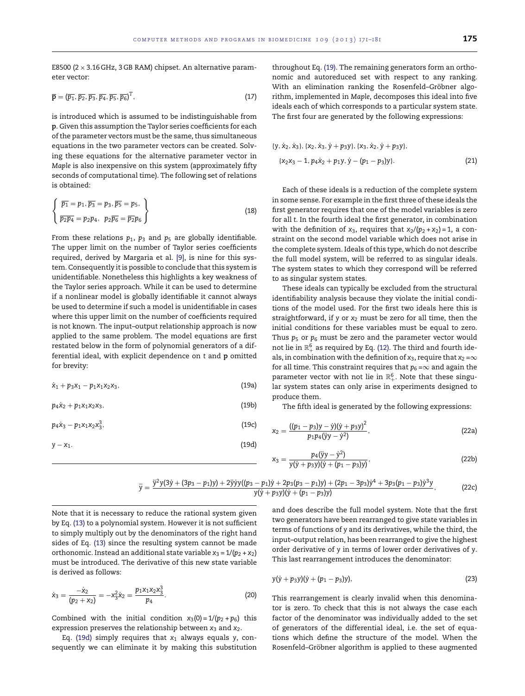<span id="page-5-0"></span>E8500 ( $2 \times 3.16$  GHz, 3 GB RAM) chipset. An alternative parameter vector:

$$
\overline{\mathbf{p}} = (\overline{p_1}, \overline{p_2}, \overline{p_3}, \overline{p_4}, \overline{p_5}, \overline{p_6})^T, \tag{17}
$$

is introduced which is assumed to be indistinguishable from **p**. Given this assumption the Taylor series coefficients for each of the parameter vectors must be the same, thus simultaneous equations in the two parameter vectors can be created. Solving these equations for the alternative parameter vector in *Maple* is also inexpensive on this system (approximately fifty seconds of computational time). The following set of relations is obtained:

$$
\begin{cases} \overline{p_1} = p_1, \overline{p_3} = p_3, \overline{p_5} = p_5, \\ \overline{p_2 p_4} = p_2 p_4, \quad p_2 \overline{p_6} = \overline{p_2} p_6 \end{cases}
$$
 (18)

From these relations  $p_1$ ,  $p_3$  and  $p_5$  are globally identifiable. The upper limit on the number of Taylor series coefficients required, derived by Margaria et al. [\[9\],](#page-10-0) is nine for this system. Consequently it is possible to conclude that this system is unidentifiable. Nonetheless this highlights a key weakness of the Taylor series approach. While it can be used to determine if a nonlinear model is globally identifiable it cannot always be used to determine if such a model is unidentifiable in cases where this upper limit on the number of coefficients required is not known. The input–output relationship approach is now applied to the same problem. The model equations are first restated below in the form of polynomial generators of a differential ideal, with explicit dependence on *t* and **p** omitted for brevity:

$$
\dot{x}_1 + p_3 x_1 - p_1 x_1 x_2 x_3, \tag{19a}
$$

 $p_4\dot{x}_2 + p_1x_1x_2x_3$ , (19b)

 $p_4x_3 - p_1x_1x_2x_3^3$ ,  $(19c)$ 

$$
y - x_1. \tag{19d}
$$

throughout Eq. [\(19\).](#page-3-0) The remaining generators form an orthonomic and autoreduced set with respect to any ranking. With an elimination ranking the Rosenfeld–Gröbner algorithm, implemented in *Maple*, decomposes this ideal into five ideals each of which corresponds to a particular system state. The first four are generated by the following expressions:

{
$$
y, \dot{x}_2, \dot{x}_3
$$
}, { $x_2, \dot{x}_3, \dot{y} + p_3y$ }, { $x_3, \dot{x}_2, \dot{y} + p_3y$ },  
{ $x_2x_3 - 1, p_4\dot{x}_2 + p_1y, \dot{y} - (p_1 - p_3)y$ }. (21)

Each of these ideals is a reduction of the complete system in some sense. For example in the first three of these ideals the first generator requires that one of the model variables is zero for all *t*. In the fourth ideal the first generator, in combination with the definition of  $x_3$ , requires that  $x_2/(p_2 + x_2) = 1$ , a constraint on the second model variable which does not arise in the complete system. Ideals of this type, which do not describe the full model system, will be referred to as singular ideals. The system states to which they correspond will be referred to as singular system states.

These ideals can typically be excluded from the structural identifiability analysis because they violate the initial conditions of the model used. For the first two ideals here this is straightforward, if *y* or *x*<sup>2</sup> must be zero for all time, then the initial conditions for these variables must be equal to zero. Thus  $p_5$  or  $p_6$  must be zero and the parameter vector would not lie in  $\mathbb{R}^6_+$  as required by Eq. [\(12\).](#page-3-0) The third and fourth ideals, in combination with the definition of  $x_3$ , require that  $x_2 = \infty$ for all time. This constraint requires that  $p_6 = \infty$  and again the parameter vector with not lie in  $\mathbb{R}^6_+$ . Note that these singular system states can only arise in experiments designed to produce them.

The fifth ideal is generated by the following expressions:

$$
x_2 = \frac{((p_1 - p_3)y - \dot{y})(\dot{y} + p_3y)^2}{p_1p_4(\ddot{y}y - \dot{y}^2)},
$$
\n(22a)

$$
x_3 = \frac{p_4(yy - \dot{y}^2)}{y(\dot{y} + p_3y)(\dot{y} + (p_1 - p_3)y)},
$$
\n(22b)

$$
\ddot{y} = \frac{\ddot{y}^2 y (3\dot{y} + (3p_3 - p_1)y) + 2\ddot{y}\dot{y}y ((p_3 - p_1)\dot{y} + 2p_3(p_3 - p_1)y) + (2p_1 - 3p_3)\dot{y}^4 + 3p_3(p_1 - p_3)\dot{y}^3 y}{y(\dot{y} + p_3 y)(\dot{y} + (p_1 - p_3)y)},
$$
\n(22c)

Note that it is necessary to reduce the rational system given by Eq. [\(13\)](#page-3-0) to a polynomial system. However it is not sufficient to simply multiply out by the denominators of the right hand sides of Eq. [\(13\)](#page-3-0) since the resulting system cannot be made orthonomic. Instead an additional state variable  $x_3 = 1/(p_2 + x_2)$ must be introduced. The derivative of this new state variable is derived as follows:

$$
\dot{x}_3 = \frac{-\dot{x}_2}{(p_2 + x_2)} = -x_3^2 \dot{x}_2 = \frac{p_1 x_1 x_2 x_3^3}{p_4}.
$$
 (20)

Combined with the initial condition  $x_3(0) = 1/(p_2 + p_6)$  this expression preserves the relationship between  $x_3$  and  $x_2$ .

Eq. [\(19d\)](#page-4-0) simply requires that *x*<sup>1</sup> always equals *y*, consequently we can eliminate it by making this substitution

and does describe the full model system. Note that the first two generators have been rearranged to give state variables in terms of functions of *y* and its derivatives, while the third, the input–output relation, has been rearranged to give the highest order derivative of *y* in terms of lower order derivatives of *y*. This last rearrangement introduces the denominator:

$$
y(y + p_3y)(y + (p_1 - p_3)y), \qquad (23)
$$

This rearrangement is clearly invalid when this denominator is zero. To check that this is not always the case each factor of the denominator was individually added to the set of generators of the differential ideal, i.e. the set of equations which define the structure of the model. When the Rosenfeld–Gröbner algorithm is applied to these augmented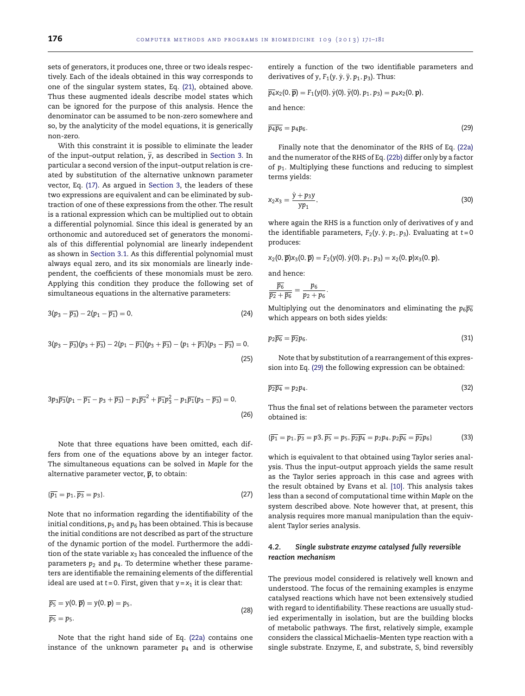<span id="page-6-0"></span>sets of generators, it produces one, three or two ideals respectively. Each of the ideals obtained in this way corresponds to one of the singular system states, Eq. [\(21\),](#page-4-0) obtained above. Thus these augmented ideals describe model states which can be ignored for the purpose of this analysis. Hence the denominator can be assumed to be non-zero somewhere and so, by the analyticity of the model equations, it is generically non-zero.

With this constraint it is possible to eliminate the leader of the input–output relation,  $\ddot{y}$ , as described in [Section](#page-1-0) [3.](#page-1-0) In particular a second version of the input–output relation is created by substitution of the alternative unknown parameter vector, Eq. [\(17\).](#page-4-0) As argued in [Section](#page-1-0) [3,](#page-1-0) the leaders of these two expressions are equivalent and can be eliminated by subtraction of one of these expressions from the other. The result is a rational expression which can be multiplied out to obtain a differential polynomial. Since this ideal is generated by an orthonomic and autoreduced set of generators the monomials of this differential polynomial are linearly independent as shown in [Section](#page-2-0) [3.1.](#page-2-0) As this differential polynomial must always equal zero, and its six monomials are linearly independent, the coefficients of these monomials must be zero. Applying this condition they produce the following set of simultaneous equations in the alternative parameters:

$$
3(p_3-\overline{p_3})-2(p_1-\overline{p_1})=0,\t\t(24)
$$

$$
3(p_3-\overline{p_3})(p_3+\overline{p_3})-2(p_1-\overline{p_1})(p_3+\overline{p_3})-(p_1+\overline{p_1})(p_3-\overline{p_3})=0,
$$
\n(25)

$$
3p_3\overline{p_3}(p_1-\overline{p_1}-p_3+\overline{p_3})-p_1\overline{p_3}^2+\overline{p_1}p_3^2-p_1\overline{p_1}(p_3-\overline{p_3})=0,
$$
\n(26)

Note that three equations have been omitted, each differs from one of the equations above by an integer factor. The simultaneous equations can be solved in *Maple* for the alternative parameter vector,  $\bar{p}$ , to obtain:

$$
\{\overline{p_1} = p_1, \overline{p_3} = p_3\}.
$$
\n(27)

Note that no information regarding the identifiability of the initial conditions,  $p_5$  and  $p_6$  has been obtained. This is because the initial conditions are not described as part of the structure of the dynamic portion of the model. Furthermore the addition of the state variable *x*<sup>3</sup> has concealed the influence of the parameters  $p_2$  and  $p_4$ . To determine whether these parameters are identifiable the remaining elements of the differential ideal are used at  $t = 0$ . First, given that  $y = x_1$  it is clear that:

$$
\overline{p_5} = y(0, \overline{\mathbf{p}}) = y(0, \mathbf{p}) = p_5,
$$
  
\n
$$
\overline{p_5} = p_5.
$$
\n(28)

Note that the right hand side of Eq. [\(22a\)](#page-4-0) contains one instance of the unknown parameter  $p_4$  and is otherwise entirely a function of the two identifiable parameters and derivatives of  $y$ ,  $F_1(y, \dot{y}, \ddot{y}, p_1, p_3)$ . Thus:

$$
\overline{p_4}x_2(0,\overline{\mathbf{p}})=F_1(y(0),\dot{y}(0),\ddot{y}(0),p_1,p_3)=p_4x_2(0,\mathbf{p}),
$$

and hence:

$$
\overline{p_4p_6} = p_4p_6. \tag{29}
$$

Finally note that the denominator of the RHS of Eq. [\(22a\)](#page-4-0) and the numerator of the RHS of Eq. [\(22b\)](#page-4-0) differ only by a factor of *p*1. Multiplying these functions and reducing to simplest terms yields:

$$
x_2 x_3 = \frac{\dot{y} + p_3 y}{yp_1},
$$
\n(30)

where again the RHS is a function only of derivatives of *y* and the identifiable parameters,  $F_2(y, \dot{y}, p_1, p_3)$ . Evaluating at  $t = 0$ produces:

 $x_2(0, \overline{p})x_3(0, \overline{p}) = F_2(y(0), \dot{y}(0), p_1, p_3) = x_2(0, p)x_3(0, p),$ 

and hence:

$$
\frac{\overline{p_6}}{\overline{p_2} + \overline{p_6}} = \frac{p_6}{p_2 + p_6}.
$$

Multiplying out the denominators and eliminating the  $p_6\overline{p_6}$ which appears on both sides yields:

$$
p_2\overline{p_6} = \overline{p_2}p_6. \tag{31}
$$

Note that by substitution of a rearrangement of this expression into Eq. [\(29\)](#page-5-0) the following expression can be obtained:

$$
\overline{p_2p_4} = p_2p_4. \tag{32}
$$

Thus the final set of relations between the parameter vectors obtained is:

$$
\overline{\{p_1 = p_1, p_3 = p_3, p_5 = p_5, p_2p_4 = p_2p_4, p_2p_6 = p_2p_6\}}
$$
\n(33)

which is equivalent to that obtained using Taylor series analysis. Thus the input–output approach yields the same result as the Taylor series approach in this case and agrees with the result obtained by Evans et al. [\[10\].](#page-10-0) This analysis takes less than a second of computational time within *Maple* on the system described above. Note however that, at present, this analysis requires more manual manipulation than the equivalent Taylor series analysis.

#### *4.2. Single substrate enzyme catalysed fully reversible reaction mechanism*

The previous model considered is relatively well known and understood. The focus of the remaining examples is enzyme catalysed reactions which have not been extensively studied with regard to identifiability. These reactions are usually studied experimentally in isolation, but are the building blocks of metabolic pathways. The first, relatively simple, example considers the classical Michaelis–Menten type reaction with a single substrate. Enzyme, *E*, and substrate, *S*, bind reversibly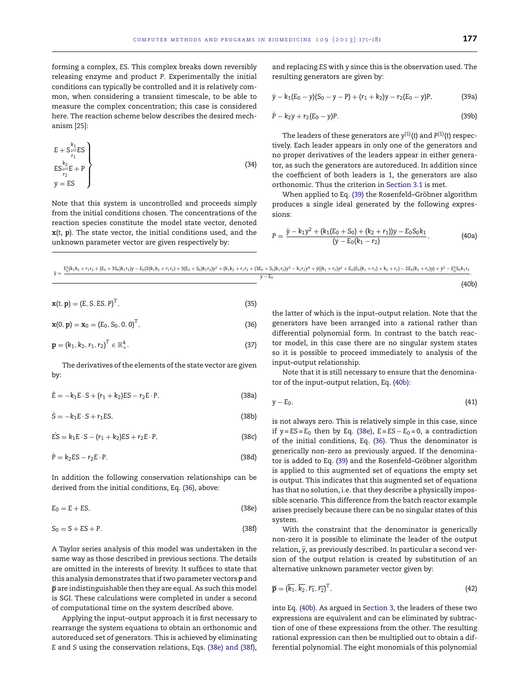<span id="page-7-0"></span>forming a complex, *ES*. This complex breaks down reversibly releasing enzyme and product *P*. Experimentally the initial conditions can typically be controlled and it is relatively common, when considering a transient timescale, to be able to measure the complex concentration; this case is considered here. The reaction scheme below describes the desired mechanism [\[25\]:](#page-10-0)

$$
E + S \frac{k_1}{r_1} ES
$$
  
\n
$$
ES \frac{k_2}{r_2} E + P
$$
  
\n
$$
y = ES
$$
\n(34)

Note that this system is uncontrolled and proceeds simply from the initial conditions chosen. The concentrations of the reaction species constitute the model state vector, denoted **x**(*t*, **p**). The state vector, the initial conditions used, and the unknown parameter vector are given respectively by:

and replacing *ES* with *y* since this is the observation used. The resulting generators are given by:

$$
\dot{y} - k_1(E_0 - y)(S_0 - y - P) + (r_1 + k_2)y - r_2(E_0 - y)P, \qquad (39a)
$$

$$
\dot{P} - k_2 y + r_2 (E_0 - y) P.
$$
 (39b)

The leaders of these generators are y<sup>(1)</sup>(t) and P<sup>(1)</sup>(t) respectively. Each leader appears in only one of the generators and no proper derivatives of the leaders appear in either generator, as such the generators are autoreduced. In addition since the coefficient of both leaders is 1, the generators are also orthonomic. Thus the criterion in [Section](#page-2-0) [3.1](#page-2-0) is met.

When applied to Eq. [\(39\)](#page-5-0) the Rosenfeld–Gröbner algorithm produces a single ideal generated by the following expressions:

$$
P = \frac{\dot{y} - k_1 y^2 + (k_1 (E_0 + S_0) + (k_2 + r_1))y - E_0 S_0 k_1}{(y - E_0 (k_1 - r_2))},
$$
\n(40a)

 $\ddot{y} =$  $\mathbb{E}_0^2(\mathbf{k}_1\mathbf{k}_2 + \mathbf{r}_1\mathbf{r}_2 + (\mathbf{E}_0 + 3\mathbf{S}_0)\mathbf{k}_1\mathbf{r}_2\mathbf{y}) - \mathbb{E}_0(2(\mathbf{k}_1\mathbf{k}_2 + \mathbf{r}_1\mathbf{r}_2) + 3(\mathbf{E}_0 + \mathbf{S}_0)\mathbf{k}_1\mathbf{r}_2\mathbf{y}^2) + (\mathbf{k}_1\mathbf{k}_2 + \mathbf{r}_1\mathbf{r}_2 + (\mathbf{3}\mathbf{E}_0 + \mathbf{S}_0)\mathbf{k}_1\mathbf{r}_2\mathbf{y}^$  $y - E_0$ ,

$$
\mathbf{x}(t, \mathbf{p}) = (E, S, ES, P)^{T}, \tag{35}
$$

$$
\mathbf{x}(0, \mathbf{p}) = \mathbf{x}_0 = (E_0, S_0, 0, 0)^T, \tag{36}
$$

$$
\mathbf{p} = (k_1, k_2, r_1, r_2)^T \in \mathbb{R}_+^4.
$$
 (37)

The derivatives of the elements of the state vector are given by:

$$
\dot{E} = -k_1 E \cdot S + (r_1 + k_2) ES - r_2 E \cdot P, \qquad (38a)
$$

$$
\dot{S} = -k_1 E \cdot S + r_1 ES,\tag{38b}
$$

 $\dot{ES} = k_1E \cdot S - (r_1 + k_2)ES + r_2E \cdot P,$  (38c)

$$
\dot{P} = k_2 ES - r_2 E \cdot P. \tag{38d}
$$

In addition the following conservation relationships can be derived from the initial conditions, Eq. [\(36\),](#page-6-0) above:

$$
E_0 = E + ES,\t\t(38e)
$$

$$
S_0 = S + ES + P. \tag{38f}
$$

A Taylor series analysis of this model was undertaken in the same way as those described in previous sections. The details are omitted in the interests of brevity. It suffices to state that this analysis demonstrates thatiftwo parameter vectors **p** and **p** are indistinguishable then they are equal. As such this model is SGI. These calculations were completed in under a second of computational time on the system described above.

Applying the input–output approach it is first necessary to rearrange the system equations to obtain an orthonomic and autoreduced set of generators. This is achieved by eliminating *E* and *S* using the conservation relations, Eqs. [\(38e\)](#page-6-0) [and](#page-6-0) [\(38f\),](#page-6-0)

the latter of which is the input–output relation. Note that the generators have been arranged into a rational rather than differential polynomial form. In contrast to the batch reactor model, in this case there are no singular system states so it is possible to proceed immediately to analysis of the input–output relationship.

Note that it is still necessary to ensure that the denominator of the input–output relation, Eq. [\(40b\):](#page-6-0)

$$
y - E_0, \tag{41}
$$

is not always zero. This is relatively simple in this case, since if  $y = ES = E_0$  then by Eq. [\(38e\),](#page-6-0)  $E = ES - E_0 = 0$ , a contradiction of the initial conditions, Eq. [\(36\).](#page-6-0) Thus the denominator is generically non-zero as previously argued. If the denominator is added to Eq. ([39\)](#page-5-0) and the Rosenfeld–Gröbner algorithm is applied to this augmented set of equations the empty set is output. This indicates that this augmented set of equations has that no solution, i.e. that they describe a physically impossible scenario. This difference from the batch reactor example arises precisely because there can be no singular states of this system.

With the constraint that the denominator is generically non-zero it is possible to eliminate the leader of the output relation, y, as previously described. In particular a second version of the output relation is created by substitution of an alternative unknown parameter vector given by:

$$
\overline{\mathbf{p}} = (\overline{k_1}, \overline{k_2}, \overline{r_1}, \overline{r_2})^T, \tag{42}
$$

into Eq. [\(40b\).](#page-6-0) As argued in [Section](#page-1-0) [3,](#page-1-0) the leaders of these two expressions are equivalent and can be eliminated by subtraction of one of these expressions from the other. The resulting rational expression can then be multiplied out to obtain a differential polynomial. The eight monomials of this polynomial

(40b)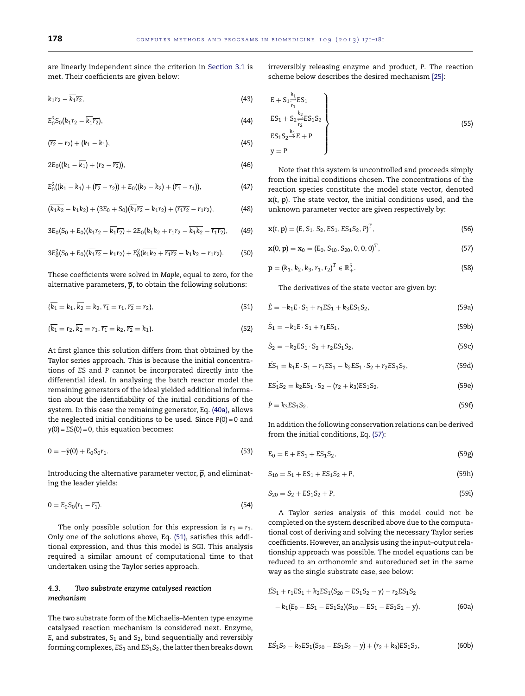<span id="page-8-0"></span>are linearly independent since the criterion in [Section](#page-2-0) [3.1](#page-2-0) is met. Their coefficients are given below:

 $k_1r_2 - \overline{k_1}\overline{r_2},$  (43)

$$
E_0^3S_0(k_1r_2-\overline{k_1}\overline{r_2}),\t\t(44)
$$

 $(\overline{r_2} - r_2) + (\overline{k_1} - k_1),$  (45)

 $2E_0((k_1 - \overline{k_1}) + (r_2 - \overline{r_2})),$  (46)

$$
E_0^2((\overline{k_1}-k_1)+(\overline{r_2}-r_2))+E_0((\overline{k_2}-k_2)+(\overline{r_1}-r_1)), \qquad (47)
$$

$$
(\overline{k_1k_2}-k_1k_2)+(3E_0+S_0)(\overline{k_1r_2}-k_1r_2)+(\overline{r_1r_2}-r_1r_2), \hspace{1cm} (48)
$$

$$
3E_0(S_0 + E_0)(k_1r_2 - \overline{k_1}\overline{r_2}) + 2E_0(k_1k_2 + r_1r_2 - \overline{k_1k_2} - \overline{r_1r_2}), \qquad (49)
$$

$$
3E_0^2(S_0 + E_0)(\overline{k_1}\overline{r_2} - k_1r_2) + E_0^2(\overline{k_1k_2} + \overline{r_1r_2} - k_1k_2 - r_1r_2).
$$
 (50)

These coefficients were solved in *Maple*, equal to zero, for the alternative parameters,  $\bar{p}$ , to obtain the following solutions:

$$
\overline{\{k_1} = k_1, \overline{k_2} = k_2, \overline{r_1} = r_1, \overline{r_2} = r_2\},\tag{51}
$$

$$
\overline{\{k_1\}} = r_2, \overline{k_2} = r_1, \overline{r_1} = k_2, \overline{r_2} = k_1.
$$
 (52)

At first glance this solution differs from that obtained by the Taylor series approach. This is because the initial concentrations of *ES* and *P* cannot be incorporated directly into the differential ideal. In analysing the batch reactor model the remaining generators of the ideal yielded additional information about the identifiability of the initial conditions of the system. In this case the remaining generator, Eq. [\(40a\),](#page-6-0) allows the neglected initial conditions to be used. Since *P*(0) = 0 and *y*(0) = *ES*(0) = 0, this equation becomes:

$$
0 = -\dot{y}(0) + E_0 S_0 r_1. \tag{53}
$$

Introducing the alternative parameter vector,  $\bar{p}$ , and eliminating the leader yields:

$$
0 = E_0 S_0 (r_1 - \overline{r_1}). \tag{54}
$$

The only possible solution for this expression is  $\overline{r_1} = r_1$ . Only one of the solutions above, Eq. [\(51\),](#page-7-0) satisfies this additional expression, and thus this model is SGI. This analysis required a similar amount of computational time to that undertaken using the Taylor series approach.

#### *4.3. Two substrate enzyme catalysed reaction mechanism*

The two substrate form of the Michaelis–Menten type enzyme catalysed reaction mechanism is considered next. Enzyme, *E*, and substrates, *S*<sup>1</sup> and *S*2, bind sequentially and reversibly forming complexes, *ES*<sup>1</sup> and *ES*1*S*2,the latter then breaks down

irreversibly releasing enzyme and product, *P*. The reaction scheme below describes the desired mechanism [\[25\]:](#page-10-0)

$$
E + S_1 \frac{\sum_{r_1}^{k_1} ES_1}{r_1}
$$
  
\n
$$
ES_1 + S_2 \frac{\sum_{r_2}^{k_2} ES_1 S_2}{r_2}
$$
  
\n
$$
ES_1 S_2 \stackrel{k_3}{\rightarrow} E + P
$$
  
\n
$$
y = P
$$
\n(55)

Note that this system is uncontrolled and proceeds simply from the initial conditions chosen. The concentrations of the reaction species constitute the model state vector, denoted **x**(*t*, **p**). The state vector, the initial conditions used, and the unknown parameter vector are given respectively by:

$$
\mathbf{x}(t, \mathbf{p}) = (E, S_1, S_2, ES_1, ES_1S_2, P)^T,
$$
\n(56)

$$
\mathbf{x}(0, \mathbf{p}) = \mathbf{x}_0 = (E_0, S_{10}, S_{20}, 0, 0, 0)^T, \tag{57}
$$

$$
\mathbf{p} = (k_1, k_2, k_3, r_1, r_2)^T \in \mathbb{R}_+^5.
$$
 (58)

The derivatives of the state vector are given by:

$$
\dot{E} = -k_1 E \cdot S_1 + r_1 E S_1 + k_3 E S_1 S_2, \tag{59a}
$$

$$
\dot{S}_1 = -k_1 E \cdot S_1 + r_1 E S_1,\tag{59b}
$$

$$
\dot{S}_2 = -k_2 ES_1 \cdot S_2 + r_2 ES_1 S_2,\tag{59c}
$$

$$
ES_1 = k_1E \cdot S_1 - r_1ES_1 - k_2ES_1 \cdot S_2 + r_2ES_1S_2, \tag{59d}
$$

$$
ES1S2 = k2ES1·S2 - (r2 + k3)ES1S2,
$$
 (59e)

$$
\dot{P} = k_3 ES_1 S_2. \tag{59f}
$$

In addition the following conservation relations can be derived from the initial conditions, Eq. [\(57\):](#page-7-0)

$$
E_0 = E + ES_1 + ES_1S_2,
$$
 (59g)

$$
S_{10} = S_1 + ES_1 + ES_1S_2 + P,\tag{59h}
$$

$$
S_{20} = S_2 + ES_1S_2 + P,\tag{59i}
$$

A Taylor series analysis of this model could not be completed on the system described above due to the computational cost of deriving and solving the necessary Taylor series coefficients. However, an analysis using the input–output relationship approach was possible. The model equations can be reduced to an orthonomic and autoreduced set in the same way as the single substrate case, see below:

$$
ES1 + r1ES1 + k2ES1(S20 - ES1S2 - y) - r2ES1S2- k1(E0 - ES1 - ES1S2)(S10 - ES1 - ES1S2 - y),
$$
 (60a)

$$
ES1S2 - k2ES1(S20 - ES1S2 - y) + (r2 + k3)ES1S2,
$$
 (60b)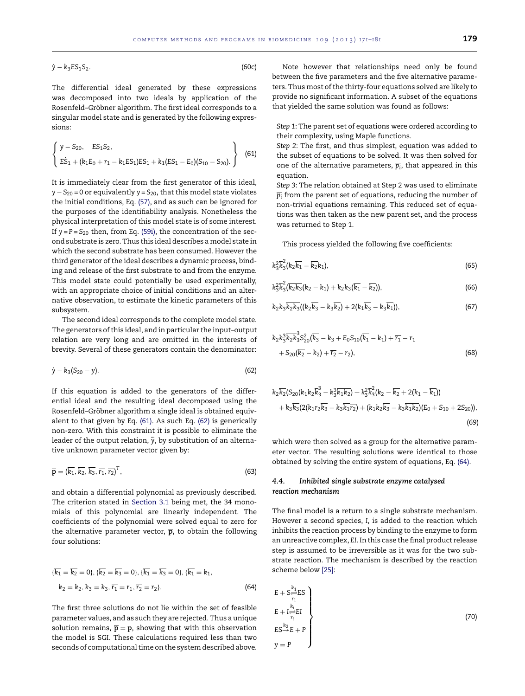<span id="page-9-0"></span>
$$
\dot{y} - k_3 ES_1 S_2. \tag{60c}
$$

The differential ideal generated by these expressions was decomposed into two ideals by application of the Rosenfeld–Gröbner algorithm. The first ideal corresponds to a singular model state and is generated by the following expressions:

$$
\begin{cases}\ny - S_{20}, & ES_1S_2, \\
E\dot{S}_1 + (k_1E_0 + r_1 - k_1ES_1)ES_1 + k_1(ES_1 - E_0)(S_{10} - S_{20}).\n\end{cases}
$$
\n(61)

It is immediately clear from the first generator of this ideal, *y* − *S*<sub>20</sub> = 0 or equivalently *y* = *S*<sub>20</sub>, that this model state violates the initial conditions, Eq. [\(57\),](#page-7-0) and as such can be ignored for the purposes of the identifiability analysis. Nonetheless the physical interpretation of this model state is of some interest. If  $y = P = S_{20}$  then, from Eq. [\(59i\),](#page-7-0) the concentration of the second substrate is zero. Thus this ideal describes a model state in which the second substrate has been consumed. However the third generator of the ideal describes a dynamic process, binding and release of the first substrate to and from the enzyme. This model state could potentially be used experimentally, with an appropriate choice of initial conditions and an alternative observation, to estimate the kinetic parameters of this subsystem.

The second ideal corresponds to the complete model state. The generators of this ideal, and in particular the input-output relation are very long and are omitted in the interests of brevity. Several of these generators contain the denominator:

$$
\dot{y} - k_3(S_{20} - y). \tag{62}
$$

If this equation is added to the generators of the differential ideal and the resulting ideal decomposed using the Rosenfeld–Gröbner algorithm a single ideal is obtained equivalent to that given by Eq. [\(61\).](#page-8-0) As such Eq. [\(62\)](#page-8-0) is generically non-zero. With this constraint it is possible to eliminate the leader of the output relation,  $\ddot{y}$ , by substitution of an alternative unknown parameter vector given by:

$$
\overline{\mathbf{p}} = (\overline{\mathbf{k}_1}, \overline{\mathbf{k}_2}, \overline{\mathbf{k}_3}, \overline{r_1}, \overline{r_2})^T, \tag{63}
$$

and obtain a differential polynomial as previously described. The criterion stated in [Section](#page-2-0) [3.1](#page-2-0) being met, the 34 monomials of this polynomial are linearly independent. The coefficients of the polynomial were solved equal to zero for the alternative parameter vector,  $\bar{p}$ , to obtain the following four solutions:

$$
\overline{k_1} = \overline{k_2} = 0, \quad \overline{k_2} = \overline{k_3} = 0, \quad \overline{k_1} = \overline{k_3} = 0, \quad \overline{k_1} = k_1, \overline{k_2} = k_2, \overline{k_3} = k_3, \quad \overline{r_1} = r_1, \quad \overline{r_2} = r_2.
$$
\n(64)

The first three solutions do not lie within the set of feasible parameter values, and as such they are rejected. Thus a unique solution remains,  $\bar{p} = p$ , showing that with this observation the model is SGI. These calculations required less than two seconds of computational time on the system described above.

Note however that relationships need only be found between the five parameters and the five alternative parameters. Thus most of the thirty-four equations solved are likely to provide no significant information. A subset of the equations that yielded the same solution was found as follows:

*Step 1*: The parent set of equations were ordered according to their complexity, using Maple functions.

*Step 2*: The first, and thus simplest, equation was added to the subset of equations to be solved. It was then solved for one of the alternative parameters,  $\overline{p_i}$ , that appeared in this equation.

*Step 3*: The relation obtained at Step 2 was used to eliminate  $\overline{p_i}$  from the parent set of equations, reducing the number of non-trivial equations remaining. This reduced set of equations was then taken as the new parent set, and the process was returned to Step 1.

This process yielded the following five coefficients:

$$
k_3^2 \overline{k}_3^2 (k_2 \overline{k_1} - \overline{k_2} k_1), \tag{65}
$$

$$
k_3^2 \overline{k}_3^2 (\overline{k_2 k_3}(k_2 - k_1) + k_2 k_3 (\overline{k_1} - \overline{k_2})), \tag{66}
$$

$$
k_2k_3\overline{k_2k_3}((k_2\overline{k_3}-k_3\overline{k_2})+2(k_1\overline{k_3}-k_3\overline{k_1})),
$$
\n(67)

$$
k_2 k_3^2 \overline{k_2 k_3^3} S_{20}^2 (\overline{k_3} - k_3 + E_0 S_{10} (\overline{k_1} - k_1) + \overline{r_1} - r_1
$$
  
+
$$
S_{20} (\overline{k_2} - k_2) + \overline{r_2} - r_2),
$$
 (68)

$$
k_{2}\overline{k_{2}}(S_{20}(k_{1}k_{2}\overline{k_{3}}^{3}-k_{3}^{3}\overline{k_{1}k_{2}})+k_{3}^{2}\overline{k_{3}}(k_{2}-\overline{k_{2}}+2(k_{1}-\overline{k_{1}}))
$$
  
+k\_{3}\overline{k\_{3}}(2(k\_{1}\overline{r\_{2}k\_{3}}-k\_{3}\overline{k\_{1}}\overline{r\_{2}})+(k\_{1}k\_{2}\overline{k\_{3}}-k\_{3}\overline{k\_{1}k\_{2}})(E\_{0}+S\_{10}+2S\_{20})), (69)

which were then solved as a group for the alternative parameter vector. The resulting solutions were identical to those obtained by solving the entire system of equations, Eq. [\(64\).](#page-8-0)

#### *4.4. Inhibited single substrate enzyme catalysed reaction mechanism*

The final model is a return to a single substrate mechanism. However a second species, *I*, is added to the reaction which inhibits the reaction process by binding to the enzyme to form an unreactive complex, *EI*. In this case the final product release step is assumed to be irreversible as it was for the two substrate reaction. The mechanism is described by the reaction scheme below [\[25\]:](#page-10-0)

$$
E + S \stackrel{k_1}{\underset{r_1}{\rightleftharpoons}} ES
$$
  
\n
$$
E + I \stackrel{k_i}{\underset{r_i}{\rightleftharpoons}} EI
$$
  
\n
$$
ES \stackrel{k_2}{\rightarrow} E + P
$$
  
\n
$$
y = P
$$
  
\n(70)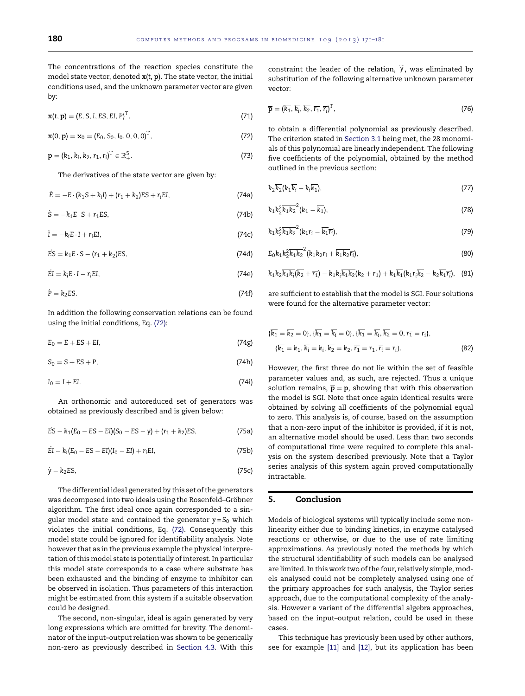<span id="page-10-0"></span>The concentrations of the reaction species constitute the model state vector, denoted **x**(*t*, **p**). The state vector, the initial conditions used, and the unknown parameter vector are given by:

$$
\mathbf{x}(t, \mathbf{p}) = (E, S, I, ES, EI, P)^{T}, \tag{71}
$$

$$
\mathbf{x}(0, \mathbf{p}) = \mathbf{x}_0 = (E_0, S_0, I_0, 0, 0, 0)^T, \tag{72}
$$

$$
\mathbf{p} = (k_1, k_i, k_2, r_1, r_i)^T \in \mathbb{R}_+^5.
$$
 (73)

The derivatives of the state vector are given by:

$$
\dot{E} = -E \cdot (k_1 S + k_1 I) + (r_1 + k_2) ES + r_1 EI,
$$
 (74a)

$$
\dot{S} = -k_1 E \cdot S + r_1 ES,\tag{74b}
$$

$$
\dot{I} = -k_i E \cdot I + r_i EI,\tag{74c}
$$

 $ES = k_1E \cdot S - (r_1 + k_2)ES,$  (74d)

$$
\dot{EI} = k_i E \cdot I - r_i EI,\tag{74e}
$$

$$
\dot{P} = k_2 ES.
$$
 (74f)

In addition the following conservation relations can be found using the initial conditions, Eq. [\(72\):](#page-9-0)

 $E_0 = E + ES + EI,$  (74g)

$$
S_0 = S + ES + P,\tag{74h}
$$

$$
I_0 = I + EI. \tag{74i}
$$

An orthonomic and autoreduced set of generators was obtained as previously described and is given below:

$$
\dot{ES} - k_1(E_0 - ES - EI)(S_0 - ES - y) + (r_1 + k_2)ES, \tag{75a}
$$

$$
\dot{EI} - k_i(E_0 - ES - EI)(I_0 - EI) + r_i EI,
$$
 (75b)

$$
\dot{y} - k_2 ES, \tag{75c}
$$

The differential ideal generated by this set of the generators was decomposed into two ideals using the Rosenfeld–Gröbner algorithm. The first ideal once again corresponded to a singular model state and contained the generator  $y = S_0$  which violates the initial conditions, Eq. [\(72\).](#page-9-0) Consequently this model state could be ignored for identifiability analysis. Note however that as in the previous example the physical interpretation of this model state is potentially of interest. In particular this model state corresponds to a case where substrate has been exhausted and the binding of enzyme to inhibitor can be observed in isolation. Thus parameters of this interaction might be estimated from this system if a suitable observation could be designed.

The second, non-singular, ideal is again generated by very long expressions which are omitted for brevity. The denominator of the input–output relation was shown to be generically non-zero as previously described in [Section](#page-7-0) [4.3.](#page-7-0) With this

constraint the leader of the relation, y, was eliminated by substitution of the following alternative unknown parameter vector:

$$
\overline{\mathbf{p}} = (\overline{\mathbf{k}_1}, \overline{\mathbf{k}_i}, \overline{\mathbf{k}_2}, \overline{r_1}, \overline{r_i})^T, \tag{76}
$$

to obtain a differential polynomial as previously described. The criterion stated in [Section](#page-2-0) [3.1](#page-2-0) being met, the 28 monomials of this polynomial are linearly independent. The following five coefficients of the polynomial, obtained by the method outlined in the previous section:

$$
k_2\overline{k_2}(k_1\overline{k_i}-k_i\overline{k_1}),\qquad \qquad (77)
$$

$$
k_1k_2^2\overline{k_1k_2}^2(k_1-\overline{k_1}),\tag{78}
$$

$$
k_1k_2^2\overline{k_1k_2}^2(k_1r_i-\overline{k_1}\overline{r_i}),\qquad(79)
$$

$$
E_0k_1k_2^2\overline{k_1k_2}^2(k_1k_2r_i+\overline{k_1k_2}\overline{r_i}),
$$
\n(80)

$$
k_1k_2\overline{k_1k_i}(\overline{k_2}+\overline{r_1})-k_1k_1\overline{k_1k_2}(k_2+r_1)+k_1\overline{k_1}(k_1r_1\overline{k_2}-k_2\overline{k_1}\overline{r_i}), \quad (81)
$$

are sufficient to establish that the model is SGI. Four solutions were found for the alternative parameter vector:

$$
\overline{\overline{k_1}} = \overline{k_2} = 0
$$
, 
$$
\overline{\overline{k_1}} = \overline{k_i} = 0
$$
, 
$$
\overline{\overline{k_1}} = \overline{k_i} = \overline{k_i}
$$
, 
$$
\overline{k_2} = 0, \overline{r_1} = \overline{r_i}
$$
, 
$$
\overline{\overline{k_1}} = k_1, \overline{k_i} = k_i, \overline{k_2} = k_2, \overline{r_1} = r_1, \overline{r_i} = r_i
$$
. (82)

However, the first three do not lie within the set of feasible parameter values and, as such, are rejected. Thus a unique solution remains,  $\bar{p} = p$ , showing that with this observation the model is SGI. Note that once again identical results were obtained by solving all coefficients of the polynomial equal to zero. This analysis is, of course, based on the assumption that a non-zero input of the inhibitor is provided, if it is not, an alternative model should be used. Less than two seconds of computational time were required to complete this analysis on the system described previously. Note that a Taylor series analysis of this system again proved computationally intractable.

#### 5. Conclusion

Models of biological systems will typically include some nonlinearity either due to binding kinetics, in enzyme catalysed reactions or otherwise, or due to the use of rate limiting approximations. As previously noted the methods by which the structural identifiability of such models can be analysed are limited. In this work two of the four, relatively simple, models analysed could not be completely analysed using one of the primary approaches for such analysis, the Taylor series approach, due to the computational complexity of the analysis. However a variant of the differential algebra approaches, based on the input–output relation, could be used in these cases.

This technique has previously been used by other authors, see for example [11] and [12], but its application has been